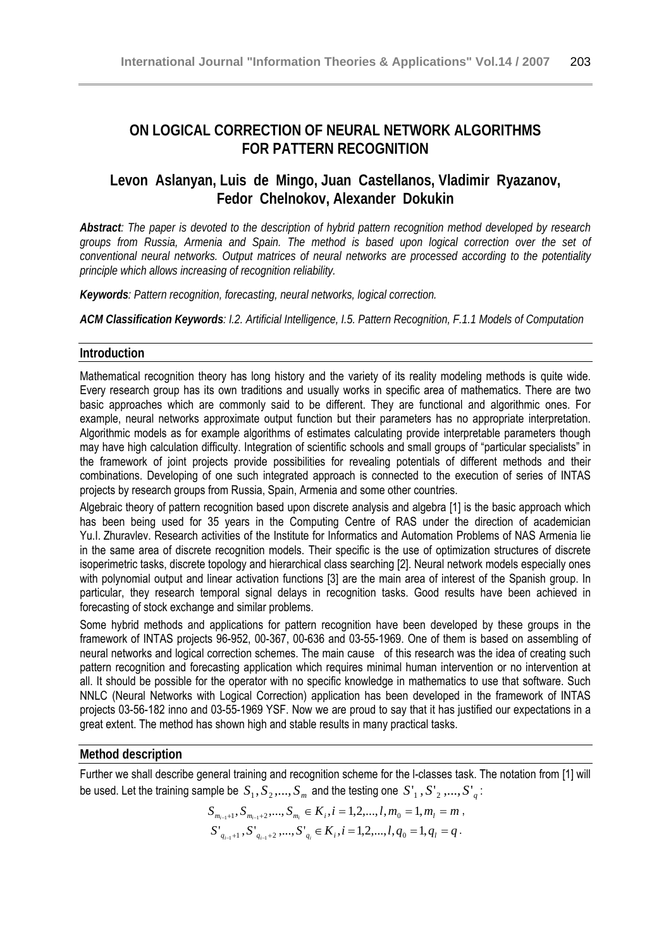# **ON LOGICAL CORRECTION OF NEURAL NETWORK ALGORITHMS FOR PATTERN RECOGNITION**

# **Levon Aslanyan, Luis de Mingo, Juan Castellanos, Vladimir Ryazanov, Fedor Chelnokov, Alexander Dokukin**

*Abstract: The paper is devoted to the description of hybrid pattern recognition method developed by research groups from Russia, Armenia and Spain. The method is based upon logical correction over the set of conventional neural networks. Output matrices of neural networks are processed according to the potentiality principle which allows increasing of recognition reliability.* 

*Keywords: Pattern recognition, forecasting, neural networks, logical correction.* 

*ACM Classification Keywords: I.2. Artificial Intelligence, I.5. Pattern Recognition, F.1.1 Models of Computation* 

## **Introduction**

Mathematical recognition theory has long history and the variety of its reality modeling methods is quite wide. Every research group has its own traditions and usually works in specific area of mathematics. There are two basic approaches which are commonly said to be different. They are functional and algorithmic ones. For example, neural networks approximate output function but their parameters has no appropriate interpretation. Algorithmic models as for example algorithms of estimates calculating provide interpretable parameters though may have high calculation difficulty. Integration of scientific schools and small groups of "particular specialists" in the framework of joint projects provide possibilities for revealing potentials of different methods and their combinations. Developing of one such integrated approach is connected to the execution of series of INTAS projects by research groups from Russia, Spain, Armenia and some other countries.

Algebraic theory of pattern recognition based upon discrete analysis and algebra [1] is the basic approach which has been being used for 35 years in the Computing Centre of RAS under the direction of academician Yu.I. Zhuravlev. Research activities of the Institute for Informatics and Automation Problems of NAS Armenia lie in the same area of discrete recognition models. Their specific is the use of optimization structures of discrete isoperimetric tasks, discrete topology and hierarchical class searching [2]. Neural network models especially ones with polynomial output and linear activation functions [3] are the main area of interest of the Spanish group. In particular, they research temporal signal delays in recognition tasks. Good results have been achieved in forecasting of stock exchange and similar problems.

Some hybrid methods and applications for pattern recognition have been developed by these groups in the framework of INTAS projects 96-952, 00-367, 00-636 and 03-55-1969. One of them is based on assembling of neural networks and logical correction schemes. The main cause of this research was the idea of creating such pattern recognition and forecasting application which requires minimal human intervention or no intervention at all. It should be possible for the operator with no specific knowledge in mathematics to use that software. Such NNLC (Neural Networks with Logical Correction) application has been developed in the framework of INTAS projects 03-56-182 inno and 03-55-1969 YSF. Now we are proud to say that it has justified our expectations in a great extent. The method has shown high and stable results in many practical tasks.

## **Method description**

Further we shall describe general training and recognition scheme for the l-classes task. The notation from [1] will be used. Let the training sample be  $S_1, S_2, ..., S_m$  and the testing one  $S'_1, S'_2, ..., S'_n$ :

$$
S_{m_{i-1}+1}, S_{m_{i-1}+2},..., S_{m_i} \in K_i, i = 1,2,...,l, m_0 = 1, m_l = m,
$$
  

$$
S_{q_{i-1}+1}, S_{q_{i-1}+2},..., S_{q_i} \in K_i, i = 1,2,...,l, q_0 = 1, q_l = q.
$$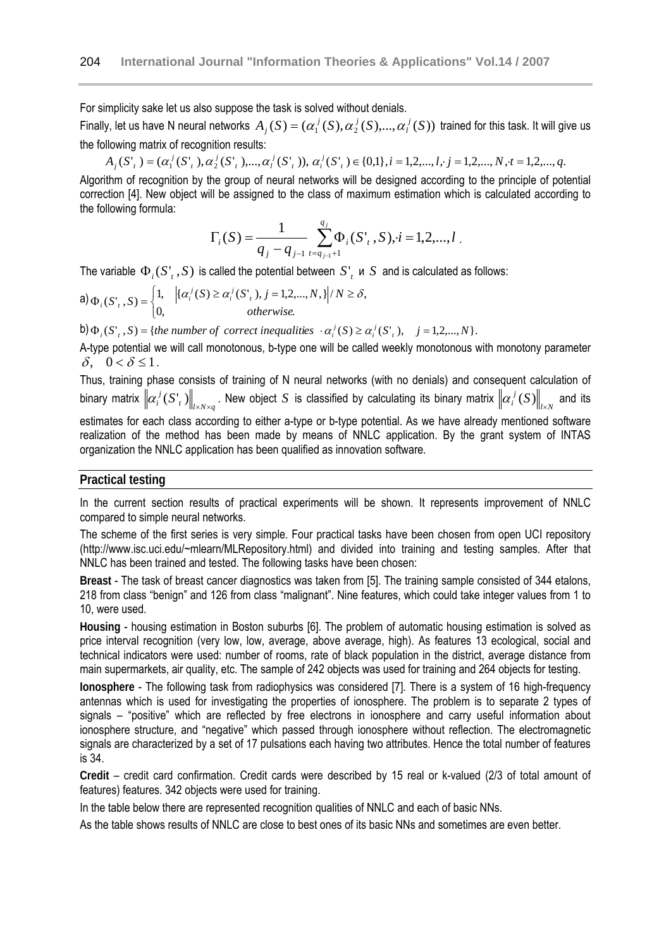For simplicity sake let us also suppose the task is solved without denials.

Finally, let us have N neural networks  $A_j(S) = (\alpha_1^j(S), \alpha_2^j(S), ..., \alpha_l^j(S))$  $\sigma_j(S) = (\alpha_1^{\ j}(S), \alpha_2^{\ j}(S), ..., \alpha_l^{\ j}(S))$  trained for this task. It will give us the following matrix of recognition results:

 $A_j(S'_{i}) = (\alpha_1^{j}(S'_{i}), \alpha_2^{j}(S'_{i}), ..., \alpha_l^{j}(S'_{i}))$ ,  $\alpha_i^{j}(S'_{i}) \in \{0,1\}, i = 1, 2, ..., l, j = 1, 2, ..., N, t = 1, 2, ..., q$ .

Algorithm of recognition by the group of neural networks will be designed according to the principle of potential correction [4]. New object will be assigned to the class of maximum estimation which is calculated according to the following formula:

$$
\Gamma_i(S) = \frac{1}{q_j - q_{j-1}} \sum_{t=q_{j-1}+1}^{q_j} \Phi_i(S^t, S), i = 1, 2, ..., l
$$

The variable  $\Phi_i(S'_t, S)$  is called the potential between  $S'_t$  u  $S$  and is calculated as follows:

$$
\mathsf{a}) \, \Phi_i(S^i, S) = \begin{cases} 1, & \big| \{ \alpha_i^j(S) \ge \alpha_i^j(S^i, \mathbf{I}), j = 1, 2, \dots, N, \} \big| / N \ge \delta, \\ 0, & \text{otherwise.} \end{cases}
$$

b)  $\Phi_i(S'_t, S) = \{$ the number of correct inequalities  $\cdot \alpha_i^j(S) \geq \alpha_i^j(S'_t), \quad j = 1, 2, ..., N\}.$ 

A-type potential we will call monotonous, b-type one will be called weekly monotonous with monotony parameter δ,  $0 < δ \leq 1$ .

Thus, training phase consists of training of N neural networks (with no denials) and consequent calculation of binary matrix  $\left\|\alpha_i^{\ j}(S\mathbf{r}_t)\right\|_{l\times N\times q}$ . New object  $S$  is classified by calculating its binary matrix  $\left\|\alpha_i^{\ j}(S)\right\|_{l\times N}$  and its estimates for each class according to either a-type or b-type potential. As we have already mentioned software realization of the method has been made by means of NNLC application. By the grant system of INTAS

organization the NNLC application has been qualified as innovation software.

## **Practical testing**

In the current section results of practical experiments will be shown. It represents improvement of NNLC compared to simple neural networks.

The scheme of the first series is very simple. Four practical tasks have been chosen from open UCI repository (http://www.isc.uci.edu/~mlearn/MLRepository.html) and divided into training and testing samples. After that NNLC has been trained and tested. The following tasks have been chosen:

**Breast** - The task of breast cancer diagnostics was taken from [5]. The training sample consisted of 344 etalons, 218 from class "benign" and 126 from class "malignant". Nine features, which could take integer values from 1 to 10, were used.

**Housing** - housing estimation in Boston suburbs [6]. The problem of automatic housing estimation is solved as price interval recognition (very low, low, average, above average, high). As features 13 ecological, social and technical indicators were used: number of rooms, rate of black population in the district, average distance from main supermarkets, air quality, etc. The sample of 242 objects was used for training and 264 objects for testing.

**Ionosphere** - The following task from radiophysics was considered [7]. There is a system of 16 high-frequency antennas which is used for investigating the properties of ionosphere. The problem is to separate 2 types of signals – "positive" which are reflected by free electrons in ionosphere and carry useful information about ionosphere structure, and "negative" which passed through ionosphere without reflection. The electromagnetic signals are characterized by a set of 17 pulsations each having two attributes. Hence the total number of features is 34.

**Credit** – credit card confirmation. Credit cards were described by 15 real or k-valued (2/3 of total amount of features) features. 342 objects were used for training.

In the table below there are represented recognition qualities of NNLC and each of basic NNs.

As the table shows results of NNLC are close to best ones of its basic NNs and sometimes are even better.